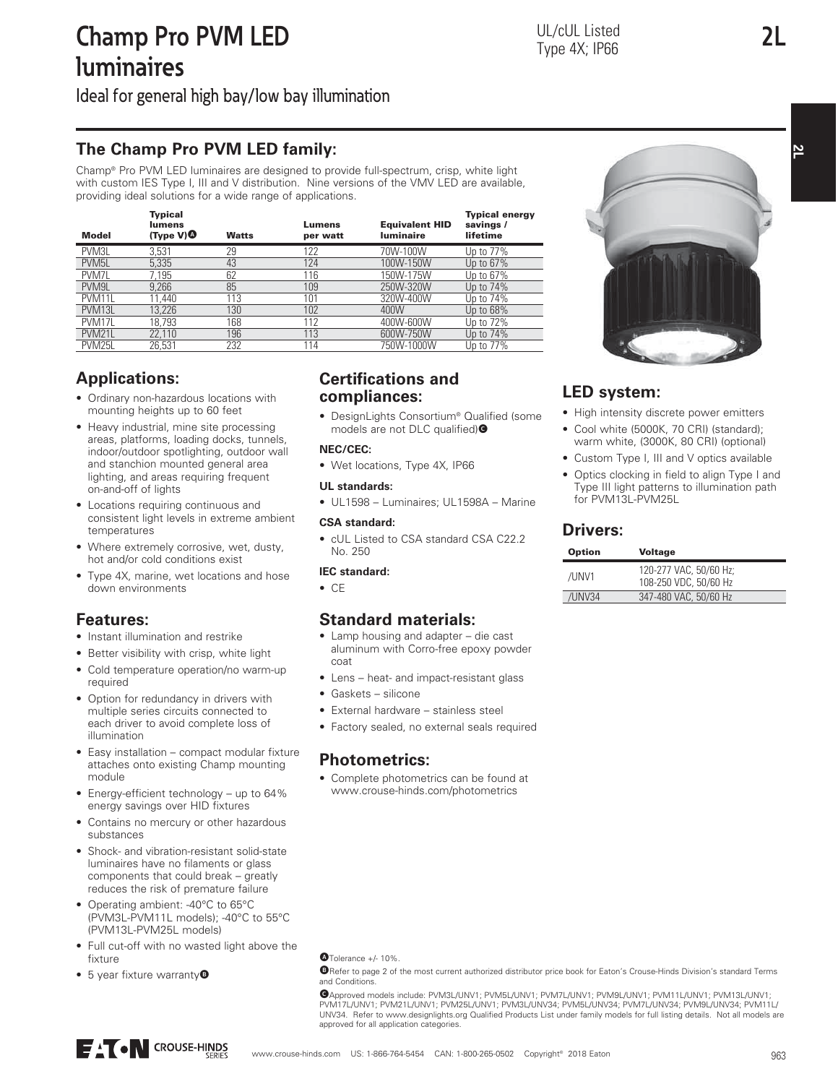**2L**

**2L**

Ideal for general high bay/low bay illumination

## **The Champ Pro PVM LED family:**

Champ® Pro PVM LED luminaires are designed to provide full-spectrum, crisp, white light with custom IES Type I, III and V distribution. Nine versions of the VMV LED are available, providing ideal solutions for a wide range of applications.

| <b>Model</b>       | <b>Typical</b><br>lumens<br>$(T^{\text{Vpe}} V)$ | <b>Watts</b> | Lumens<br>per watt | <b>Equivalent HID</b><br><b>Iuminaire</b> | <b>Typical energy</b><br>savings /<br>lifetime |
|--------------------|--------------------------------------------------|--------------|--------------------|-------------------------------------------|------------------------------------------------|
| PVM3L              | 3,531                                            | 29           | 122                | 70W-100W                                  | Up to 77%                                      |
| PVM <sub>5L</sub>  | 5.335                                            | 43           | 124                | 100W-150W                                 | Up to 67%                                      |
| PVM7L              | 7.195                                            | 62           | 116                | 150W-175W                                 | Up to 67%                                      |
| PVM9L              | 9.266                                            | 85           | 109                | 250W-320W                                 | Up to 74%                                      |
| PVM11L             | 11.440                                           | 113          | 101                | 320W-400W                                 | Up to 74%                                      |
| PVM <sub>13L</sub> | 13.226                                           | 130          | 102                | 400W                                      | Up to 68%                                      |
| PVM17L             | 18.793                                           | 168          | 112                | 400W-600W                                 | Up to 72%                                      |
| <b>PVM21L</b>      | 22,110                                           | 196          | 113                | 600W-750W                                 | Up to 74%                                      |
| PVM <sub>25L</sub> | 26.531                                           | 232          | 114                | 750W-1000W                                | Up to 77%                                      |

## **Applications:**

- Ordinary non-hazardous locations with mounting heights up to 60 feet
- Heavy industrial, mine site processing areas, platforms, loading docks, tunnels, indoor/outdoor spotlighting, outdoor wall and stanchion mounted general area lighting, and areas requiring frequent on-and-off of lights
- Locations requiring continuous and consistent light levels in extreme ambient temperatures
- Where extremely corrosive, wet, dusty, hot and/or cold conditions exist
- Type 4X, marine, wet locations and hose down environments

## **Features:**

- Instant illumination and restrike
- Better visibility with crisp, white light • Cold temperature operation/no warm-up required
- Option for redundancy in drivers with multiple series circuits connected to each driver to avoid complete loss of illumination
- Easy installation compact modular fixture attaches onto existing Champ mounting module
- Energy-efficient technology up to 64% energy savings over HID fixtures
- Contains no mercury or other hazardous substances
- Shock- and vibration-resistant solid-state luminaires have no filaments or glass components that could break – greatly reduces the risk of premature failure
- Operating ambient: -40°C to 65°C (PVM3L-PVM11L models); -40°C to 55°C (PVM13L-PVM25L models)
- Full cut-off with no wasted light above the fixture
- 5 year fixture warranty<sup>®</sup>

### **Certifications and compliances:**

• DesignLights Consortium® Qualified (some models are not DLC qualified)<sup>O</sup>

### **NEC/CEC:**

• Wet locations, Type 4X, IP66

### **UL standards:**

• UL1598 – Luminaires; UL1598A – Marine

### **CSA standard:**

• cUL Listed to CSA standard CSA C22.2 No. 250

### **IEC standard:**

• CE

# **Standard materials:**

- Lamp housing and adapter die cast aluminum with Corro-free epoxy powder coat
- Lens heat- and impact-resistant glass
- Gaskets silicone
- External hardware stainless steel
- Factory sealed, no external seals required

## **Photometrics:**

• Complete photometrics can be found at www.crouse-hinds.com/photometrics



# **LED system:**

- High intensity discrete power emitters
- Cool white (5000K, 70 CRI) (standard); warm white, (3000K, 80 CRI) (optional)
- Custom Type I, III and V optics available
- Optics clocking in field to align Type I and Type III light patterns to illumination path for PVM13L-PVM25L

# **Drivers:**

| <b>Option</b> | <b>Voltage</b>                                  |
|---------------|-------------------------------------------------|
| /UNV1         | 120-277 VAC, 50/60 Hz;<br>108-250 VDC, 50/60 Hz |
| /UNV34        | 347-480 VAC, 50/60 Hz                           |

BRefer to page 2 of the most current authorized distributor price book for Eaton's Crouse-Hinds Division's standard Terms and Conditions.

CApproved models include: PVM3L/UNV1; PVM5L/UNV1; PVM7L/UNV1; PVM9L/UNV1; PVM11L/UNV1; PVM13L/UNV1; PVM17L/UNV1; PVM21L/UNV1; PVM25L/UNV1; PVM3L/UNV34; PVM5L/UNV34; PVM7L/UNV34; PVM9L/UNV34; PVM11L/ UNV34. Refer to www.designlights.org Qualified Products List under family models for full listing details. Not all models are approved for all application categories.



ATolerance +/- 10%.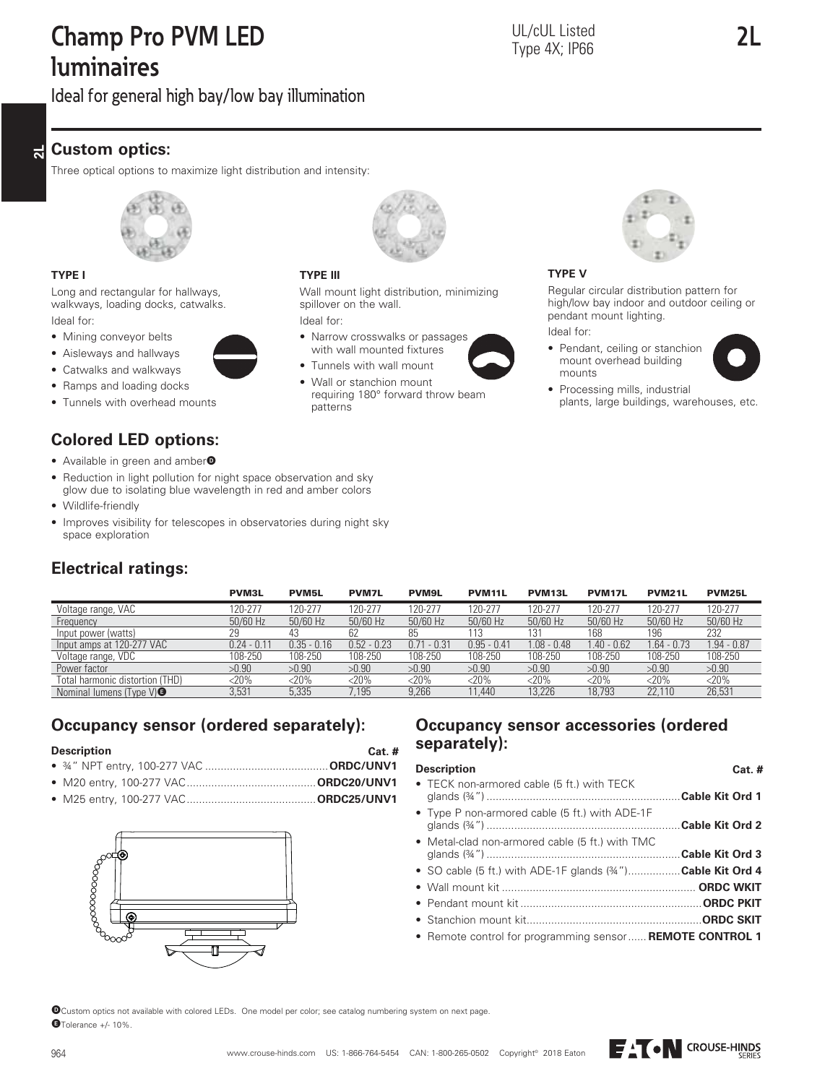# **Champ Pro PVM LED luminaires**

**2L**

Ideal for general high bay/low bay illumination

#### **2L Custom optics:**

Three optical options to maximize light distribution and intensity:

**TYPE III**

Ideal for:

patterns

spillover on the wall.



### **TYPE I**

Long and rectangular for hallways, walkways, loading docks, catwalks. Ideal for:

- Mining conveyor belts
- Aisleways and hallways



- Ramps and loading docks
- Tunnels with overhead mounts

# **Colored LED options:**

- Available in green and amber<sup>O</sup>
- Reduction in light pollution for night space observation and sky glow due to isolating blue wavelength in red and amber colors
- Wildlife-friendly
- Improves visibility for telescopes in observatories during night sky space exploration



|                                      | <b>PVM3L</b>  | <b>PVM5L</b>  | <b>PVM7L</b>  | <b>PVM9L</b>    | PVM <sub>11</sub> L | PVM <sub>13L</sub> | PVM <sub>17L</sub> | PVM <sub>21</sub> L | <b>PVM25L</b> |
|--------------------------------------|---------------|---------------|---------------|-----------------|---------------------|--------------------|--------------------|---------------------|---------------|
| Voltage range, VAC                   | 120-277       | 120-277       | 120-277       | 120-277         | 120-277             | 120-277            | 120-277            | 120-277             | 120-277       |
| Frequency                            | 50/60 Hz      | 50/60 Hz      | 50/60 Hz      | 50/60 Hz        | 50/60 Hz            | 50/60 Hz           | 50/60 Hz           | 50/60 Hz            | 50/60 Hz      |
| Input power (watts)                  | 29            | 43            |               | 85              | 113                 | 131                | 168                | 196                 | 232           |
| Input amps at 120-277 VAC            | $0.24 - 0.11$ | $0.35 - 0.16$ | $0.52 - 0.23$ | 0.71<br>$-0.31$ | $0.95 - 0.41$       | $1.08 - 0.48$      | $1.40 - 0.62$      | $1.64 - 0.73$       | $.94 - 0.87$  |
| Voltage range, VDC                   | 108-250       | 108-250       | 108-250       | 108-250         | 108-250             | 108-250            | 108-250            | 108-250             | 108-250       |
| Power factor                         | >0.90         | >0.90         | >0.90         | >0.90           | >0.90               | >0.90              | >0.90              | >0.90               | >0.90         |
| Total harmonic distortion (THD)      | $<$ 20%       | $<$ 20%       | $<$ 20%       | $<$ 20%         | $<$ 20%             | $<$ 20%            | $<$ 20%            | $<$ 20%             | $<$ 20%       |
| Nominal lumens (Type $V$ ) $\bullet$ | 3,531         | 5,335         | 7.195         | 9.266           | 11.440              | 13.226             | 18.793             | 22,110              | 26,531        |

Wall mount light distribution, minimizing

requiring 180° forward throw beam

• Narrow crosswalks or passages with wall mounted fixtures • Tunnels with wall mount • Wall or stanchion mount

## **Occupancy sensor (ordered separately):**

### **Description**

- ¾" NPT entry, 100-277 VAC ........................................**ORDC/UNV1** • M20 entry, 100-277 VAC ..........................................**ORDC20/UNV1**
- M25 entry, 100-277 VAC ..........................................**ORDC25/UNV1**





# **Occupancy sensor accessories (ordered separately):**

### **Description**

| • TECK non-armored cable (5 ft.) with TECK                      |
|-----------------------------------------------------------------|
| • Type P non-armored cable (5 ft.) with ADE-1F                  |
| • Metal-clad non-armored cable (5 ft.) with TMC                 |
| • SO cable (5 ft.) with ADE-1F glands $(34'')$ Cable Kit Ord 4  |
|                                                                 |
|                                                                 |
|                                                                 |
| • Remote control for programming sensor <b>REMOTE CONTROL 1</b> |
|                                                                 |

DCustom optics not available with colored LEDs. One model per color; see catalog numbering system on next page. ETolerance +/- 10%.



### **TYPE V**

Regular circular distribution pattern for high/low bay indoor and outdoor ceiling or pendant mount lighting.

Ideal for:

• Pendant, ceiling or stanchion mount overhead building mounts



**Cat. #**

• Processing mills, industrial plants, large buildings, warehouses, etc.



**Cat. #**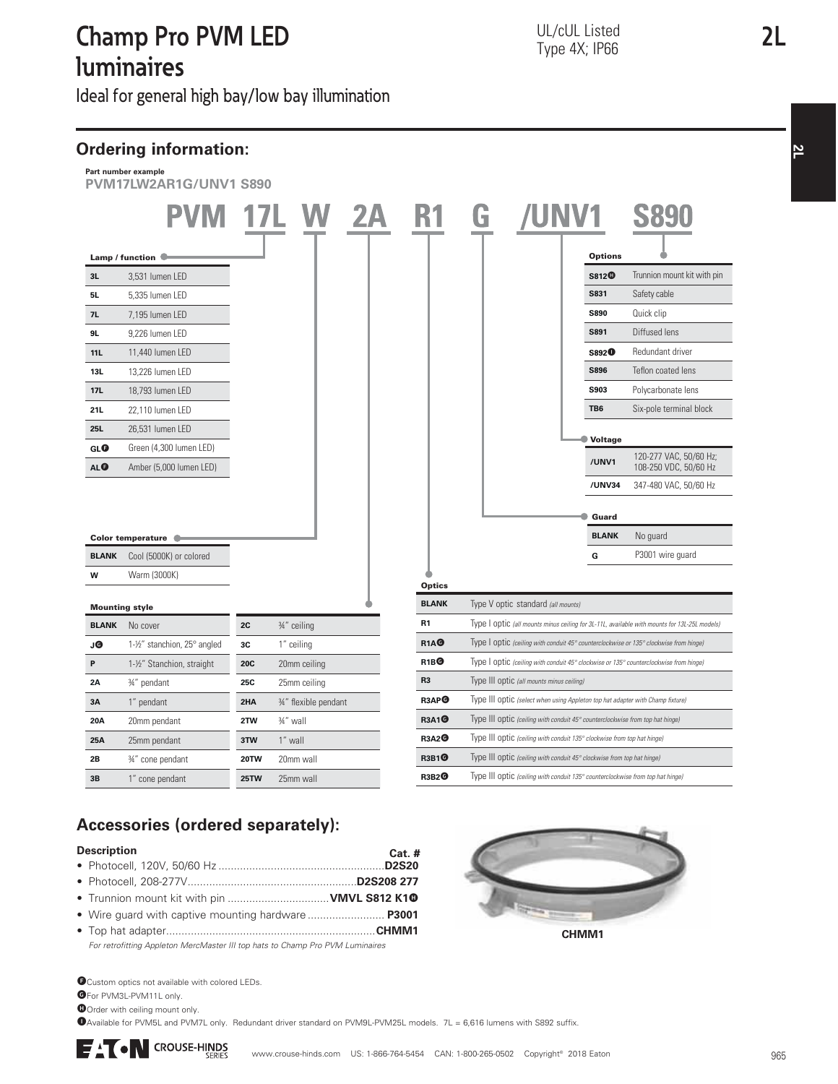# **Champ Pro PVM LED luminaires**

Ideal for general high bay/low bay illumination

**2** 



# **Accessories (ordered separately):**

### **Description**

- **Cat. #** • Photocell, 120V, 50/60 Hz ......................................................**D2S20**
- Photocell, 208-277V .......................................................**D2S208 277**
- Trunnion mount kit with pin ................................ **VMVL S812 K10**
- Wire guard with captive mounting hardware ......................... **P3001**
- Top hat adapter....................................................................**CHMM1** For retrofitting Appleton MercMaster III top hats to Champ Pro PVM Luminaires

**O**Custom optics not available with colored LEDs.

**G**For PVM3L-PVM11L only

**O**Order with ceiling mount only.

IAvailable for PVM5L and PVM7L only. Redundant driver standard on PVM9L-PVM25L models. 7L = 6,616 lumens with S892 suffix.